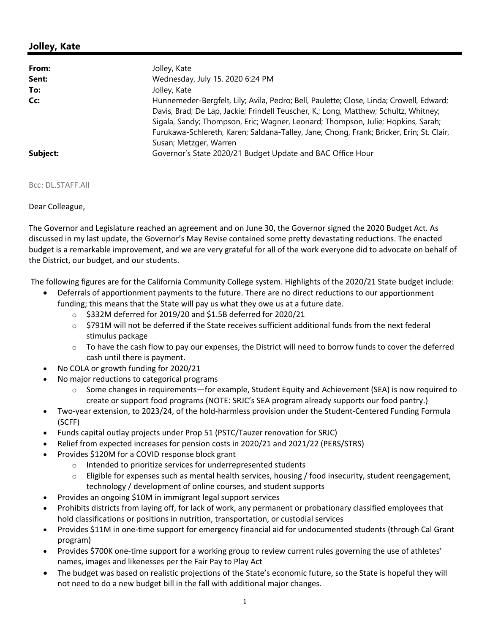## **Jolley, Kate**

| From:    | Jolley, Kate                                                                                                                                                                                                                                                                                                                                                                              |
|----------|-------------------------------------------------------------------------------------------------------------------------------------------------------------------------------------------------------------------------------------------------------------------------------------------------------------------------------------------------------------------------------------------|
| Sent:    | Wednesday, July 15, 2020 6:24 PM                                                                                                                                                                                                                                                                                                                                                          |
| To:      | Jolley, Kate                                                                                                                                                                                                                                                                                                                                                                              |
| Cc:      | Hunnemeder-Bergfelt, Lily; Avila, Pedro; Bell, Paulette; Close, Linda; Crowell, Edward;<br>Davis, Brad; De Lap, Jackie; Frindell Teuscher, K.; Long, Matthew; Schultz, Whitney;<br>Sigala, Sandy; Thompson, Eric; Wagner, Leonard; Thompson, Julie; Hopkins, Sarah;<br>Furukawa-Schlereth, Karen; Saldana-Talley, Jane; Chong, Frank; Bricker, Erin; St. Clair,<br>Susan; Metzger, Warren |
| Subject: | Governor's State 2020/21 Budget Update and BAC Office Hour                                                                                                                                                                                                                                                                                                                                |

Bcc: DL.STAFF.All

Dear Colleague,

The Governor and Legislature reached an agreement and on June 30, the Governor signed the 2020 Budget Act. As discussed in my last update, the Governor's May Revise contained some pretty devastating reductions. The enacted budget is a remarkable improvement, and we are very grateful for all of the work everyone did to advocate on behalf of the District, our budget, and our students.

The following figures are for the California Community College system. Highlights of the 2020/21 State budget include:

- Deferrals of apportionment payments to the future. There are no direct reductions to our apportionment funding; this means that the State will pay us what they owe us at a future date.
	- $\circ$  \$332M deferred for 2019/20 and \$1.5B deferred for 2020/21
	- $\circ$  \$791M will not be deferred if the State receives sufficient additional funds from the next federal stimulus package
	- $\circ$  To have the cash flow to pay our expenses, the District will need to borrow funds to cover the deferred cash until there is payment.
- No COLA or growth funding for 2020/21
- No major reductions to categorical programs
	- $\circ$  Some changes in requirements—for example, Student Equity and Achievement (SEA) is now required to create or support food programs (NOTE: SRJC's SEA program already supports our food pantry.)
- Two-year extension, to 2023/24, of the hold-harmless provision under the Student-Centered Funding Formula (SCFF)
- Funds capital outlay projects under Prop 51 (PSTC/Tauzer renovation for SRJC)
- Relief from expected increases for pension costs in 2020/21 and 2021/22 (PERS/STRS)
- Provides \$120M for a COVID response block grant
	- o Intended to prioritize services for underrepresented students
	- $\circ$  Eligible for expenses such as mental health services, housing / food insecurity, student reengagement, technology / development of online courses, and student supports
- Provides an ongoing \$10M in immigrant legal support services
- Prohibits districts from laying off, for lack of work, any permanent or probationary classified employees that hold classifications or positions in nutrition, transportation, or custodial services
- Provides \$11M in one‐time support for emergency financial aid for undocumented students (through Cal Grant program)
- Provides \$700K one‐time support for a working group to review current rules governing the use of athletes' names, images and likenesses per the Fair Pay to Play Act
- The budget was based on realistic projections of the State's economic future, so the State is hopeful they will not need to do a new budget bill in the fall with additional major changes.